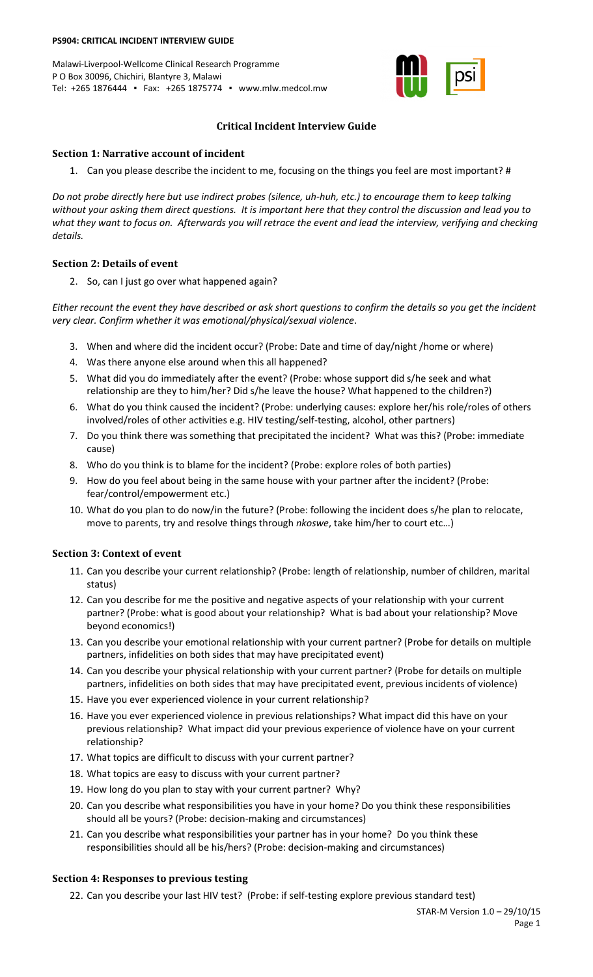#### **PS904: CRITICAL INCIDENT INTERVIEW GUIDE**

Malawi-Liverpool-Wellcome Clinical Research Programme P O Box 30096, Chichiri, Blantyre 3, Malawi Tel: +265 1876444 ▪ Fax: +265 1875774 ▪ www.mlw.medcol.mw



## **Critical Incident Interview Guide**

#### **Section 1: Narrative account of incident**

1. Can you please describe the incident to me, focusing on the things you feel are most important? #

*Do not probe directly here but use indirect probes (silence, uh-huh, etc.) to encourage them to keep talking without your asking them direct questions. It is important here that they control the discussion and lead you to what they want to focus on. Afterwards you will retrace the event and lead the interview, verifying and checking details.*

## **Section 2: Details of event**

2. So, can I just go over what happened again?

*Either recount the event they have described or ask short questions to confirm the details so you get the incident very clear. Confirm whether it was emotional/physical/sexual violence*.

- 3. When and where did the incident occur? (Probe: Date and time of day/night /home or where)
- 4. Was there anyone else around when this all happened?
- 5. What did you do immediately after the event? (Probe: whose support did s/he seek and what relationship are they to him/her? Did s/he leave the house? What happened to the children?)
- 6. What do you think caused the incident? (Probe: underlying causes: explore her/his role/roles of others involved/roles of other activities e.g. HIV testing/self-testing, alcohol, other partners)
- 7. Do you think there was something that precipitated the incident? What was this? (Probe: immediate cause)
- 8. Who do you think is to blame for the incident? (Probe: explore roles of both parties)
- 9. How do you feel about being in the same house with your partner after the incident? (Probe: fear/control/empowerment etc.)
- 10. What do you plan to do now/in the future? (Probe: following the incident does s/he plan to relocate, move to parents, try and resolve things through *nkoswe*, take him/her to court etc…)

# **Section 3: Context of event**

- 11. Can you describe your current relationship? (Probe: length of relationship, number of children, marital status)
- 12. Can you describe for me the positive and negative aspects of your relationship with your current partner? (Probe: what is good about your relationship? What is bad about your relationship? Move beyond economics!)
- 13. Can you describe your emotional relationship with your current partner? (Probe for details on multiple partners, infidelities on both sides that may have precipitated event)
- 14. Can you describe your physical relationship with your current partner? (Probe for details on multiple partners, infidelities on both sides that may have precipitated event, previous incidents of violence)
- 15. Have you ever experienced violence in your current relationship?
- 16. Have you ever experienced violence in previous relationships? What impact did this have on your previous relationship? What impact did your previous experience of violence have on your current relationship?
- 17. What topics are difficult to discuss with your current partner?
- 18. What topics are easy to discuss with your current partner?
- 19. How long do you plan to stay with your current partner? Why?
- 20. Can you describe what responsibilities you have in your home? Do you think these responsibilities should all be yours? (Probe: decision-making and circumstances)
- 21. Can you describe what responsibilities your partner has in your home? Do you think these responsibilities should all be his/hers? (Probe: decision-making and circumstances)

# **Section 4: Responses to previous testing**

22. Can you describe your last HIV test? (Probe: if self-testing explore previous standard test)